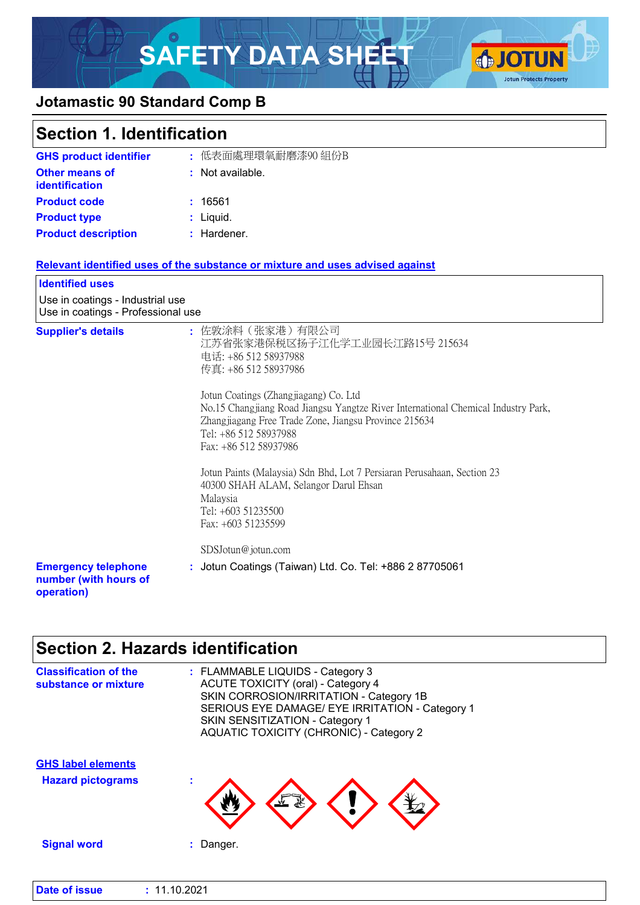# SAFETY DATA SHEET A GJOTUN



### **Jotamastic 90 Standard Comp B**

| <b>Section 1. Identification</b>                                       |                                                                                                                                                                                                                                                                                                                                                                                                                                                                                                                                              |  |
|------------------------------------------------------------------------|----------------------------------------------------------------------------------------------------------------------------------------------------------------------------------------------------------------------------------------------------------------------------------------------------------------------------------------------------------------------------------------------------------------------------------------------------------------------------------------------------------------------------------------------|--|
| <b>GHS product identifier</b>                                          | : 低表面處理環氧耐磨漆90 組份B                                                                                                                                                                                                                                                                                                                                                                                                                                                                                                                           |  |
| <b>Other means of</b><br>identification                                | : Not available.                                                                                                                                                                                                                                                                                                                                                                                                                                                                                                                             |  |
| <b>Product code</b>                                                    | : 16561                                                                                                                                                                                                                                                                                                                                                                                                                                                                                                                                      |  |
| <b>Product type</b>                                                    | Liquid.                                                                                                                                                                                                                                                                                                                                                                                                                                                                                                                                      |  |
| <b>Product description</b>                                             | : Hardener.                                                                                                                                                                                                                                                                                                                                                                                                                                                                                                                                  |  |
|                                                                        | Relevant identified uses of the substance or mixture and uses advised against                                                                                                                                                                                                                                                                                                                                                                                                                                                                |  |
| <b>Identified uses</b>                                                 |                                                                                                                                                                                                                                                                                                                                                                                                                                                                                                                                              |  |
| Use in coatings - Industrial use<br>Use in coatings - Professional use |                                                                                                                                                                                                                                                                                                                                                                                                                                                                                                                                              |  |
| <b>Supplier's details</b>                                              | : 佐敦涂料(张家港)有限公司<br>江苏省张家港保税区扬子江化学工业园长江路15号 215634<br>电话: +86 512 58937988<br>传真: +86 512 58937986<br>Jotun Coatings (Zhangjiagang) Co. Ltd<br>No.15 Changjiang Road Jiangsu Yangtze River International Chemical Industry Park,<br>Zhangjiagang Free Trade Zone, Jiangsu Province 215634<br>Tel: +86 512 58937988<br>Fax: +86 512 58937986<br>Jotun Paints (Malaysia) Sdn Bhd, Lot 7 Persiaran Perusahaan, Section 23<br>40300 SHAH ALAM, Selangor Darul Ehsan<br>Malaysia<br>Tel: +603 51235500<br>Fax: +603 51235599<br>SDSJotun@jotun.com |  |
| <b>Emergency telephone</b><br>number (with hours of<br>operation)      | : Jotun Coatings (Taiwan) Ltd. Co. Tel: +886 2 87705061                                                                                                                                                                                                                                                                                                                                                                                                                                                                                      |  |

### **Section 2. Hazards identification**

| <b>Classification of the</b><br>substance or mixture  | : FLAMMABLE LIQUIDS - Category 3<br><b>ACUTE TOXICITY (oral) - Category 4</b><br>SKIN CORROSION/IRRITATION - Category 1B<br>SERIOUS EYE DAMAGE/ EYE IRRITATION - Category 1<br>SKIN SENSITIZATION - Category 1<br><b>AQUATIC TOXICITY (CHRONIC) - Category 2</b> |  |
|-------------------------------------------------------|------------------------------------------------------------------------------------------------------------------------------------------------------------------------------------------------------------------------------------------------------------------|--|
| <b>GHS label elements</b><br><b>Hazard pictograms</b> | ×.                                                                                                                                                                                                                                                               |  |
| <b>Signal word</b>                                    | : Danger.                                                                                                                                                                                                                                                        |  |
| Date of issue                                         | : 11.10.2021                                                                                                                                                                                                                                                     |  |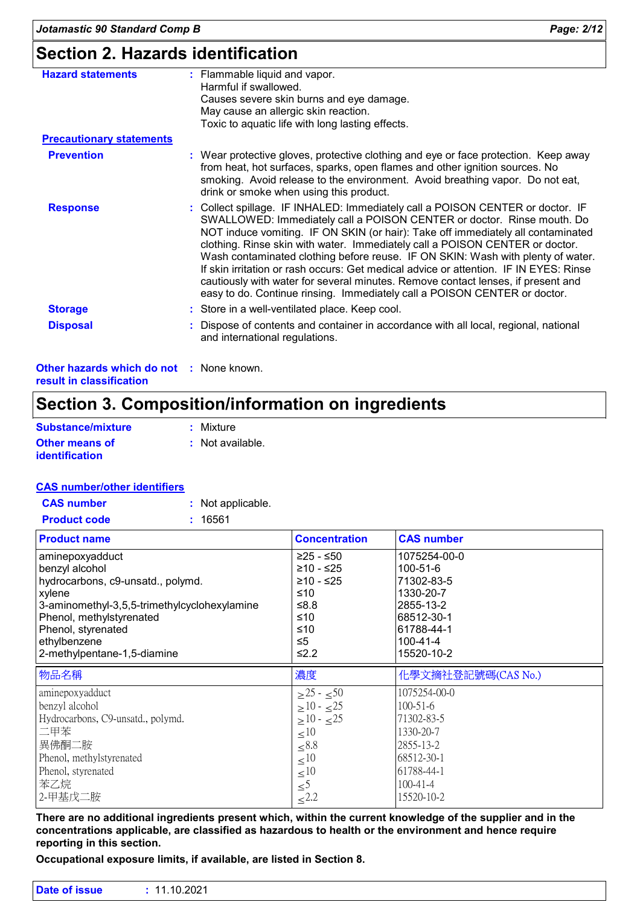### **Section 2. Hazards identification**

| : Flammable liquid and vapor.<br>Harmful if swallowed.<br>Causes severe skin burns and eye damage.<br>May cause an allergic skin reaction.<br>Toxic to aquatic life with long lasting effects.                                                                                                                                                                                                                                                                                                                                                                                                                                                                            |
|---------------------------------------------------------------------------------------------------------------------------------------------------------------------------------------------------------------------------------------------------------------------------------------------------------------------------------------------------------------------------------------------------------------------------------------------------------------------------------------------------------------------------------------------------------------------------------------------------------------------------------------------------------------------------|
|                                                                                                                                                                                                                                                                                                                                                                                                                                                                                                                                                                                                                                                                           |
| : Wear protective gloves, protective clothing and eye or face protection. Keep away<br>from heat, hot surfaces, sparks, open flames and other ignition sources. No<br>smoking. Avoid release to the environment. Avoid breathing vapor. Do not eat,<br>drink or smoke when using this product.                                                                                                                                                                                                                                                                                                                                                                            |
| : Collect spillage. IF INHALED: Immediately call a POISON CENTER or doctor. IF<br>SWALLOWED: Immediately call a POISON CENTER or doctor. Rinse mouth. Do<br>NOT induce vomiting. IF ON SKIN (or hair): Take off immediately all contaminated<br>clothing. Rinse skin with water. Immediately call a POISON CENTER or doctor.<br>Wash contaminated clothing before reuse. IF ON SKIN: Wash with plenty of water.<br>If skin irritation or rash occurs: Get medical advice or attention. IF IN EYES: Rinse<br>cautiously with water for several minutes. Remove contact lenses, if present and<br>easy to do. Continue rinsing. Immediately call a POISON CENTER or doctor. |
| : Store in a well-ventilated place. Keep cool.                                                                                                                                                                                                                                                                                                                                                                                                                                                                                                                                                                                                                            |
| : Dispose of contents and container in accordance with all local, regional, national<br>and international regulations.                                                                                                                                                                                                                                                                                                                                                                                                                                                                                                                                                    |
|                                                                                                                                                                                                                                                                                                                                                                                                                                                                                                                                                                                                                                                                           |

**Other hazards which do not :** None known. **result in classification**

### **Section 3. Composition/information on ingredients**

| Substance/mixture     | : Mixture        |
|-----------------------|------------------|
| Other means of        | : Not available. |
| <b>identification</b> |                  |

#### **CAS number/other identifiers**

| <b>CAS number</b>   | : Not applicable. |
|---------------------|-------------------|
| <b>Product code</b> | : 16561           |

| <b>Product name</b>                          | <b>Concentration</b>              | <b>CAS number</b>  |
|----------------------------------------------|-----------------------------------|--------------------|
| aminepoxyadduct                              | $≥25 - ≤50$                       | 1075254-00-0       |
| benzyl alcohol                               | ≥10 - ≤25                         | 100-51-6           |
| hydrocarbons, c9-unsatd., polymd.            | $≥10 - ≤25$                       | 71302-83-5         |
| xylene                                       | ≤10                               | 1330-20-7          |
| 3-aminomethyl-3,5,5-trimethylcyclohexylamine | ≤ $8.8$                           | 2855-13-2          |
| Phenol, methylstyrenated                     | ≤10                               | 68512-30-1         |
| Phenol, styrenated                           | ≤10                               | 61788-44-1         |
| ethylbenzene                                 | $\leq 5$                          | $100 - 41 - 4$     |
| 2-methylpentane-1,5-diamine                  | ≤2.2                              | 15520-10-2         |
|                                              |                                   |                    |
| 物品名稱                                         | 濃度                                | 化學文摘社登記號碼(CAS No.) |
| aminepoxyadduct                              | $>25 - 50$                        | 1075254-00-0       |
| benzyl alcohol                               | $>10 - 25$                        | 100-51-6           |
| Hydrocarbons, C9-unsatd., polymd.            | $>10 - 25$                        | 71302-83-5         |
| 二甲苯                                          | $\leq 10$                         | 1330-20-7          |
| 異佛酮二胺                                        |                                   | 2855-13-2          |
| Phenol, methylstyrenated                     | < 8.8                             | 68512-30-1         |
| Phenol, styrenated                           | $\leq 10$                         | 61788-44-1         |
| 苯乙烷                                          | ${\leq}10$<br>$\leq$ <sup>5</sup> | $100-41-4$         |

**There are no additional ingredients present which, within the current knowledge of the supplier and in the concentrations applicable, are classified as hazardous to health or the environment and hence require reporting in this section.**

**Occupational exposure limits, if available, are listed in Section 8.**

|  | Date of issue | : 11.10.2021 |  |
|--|---------------|--------------|--|
|--|---------------|--------------|--|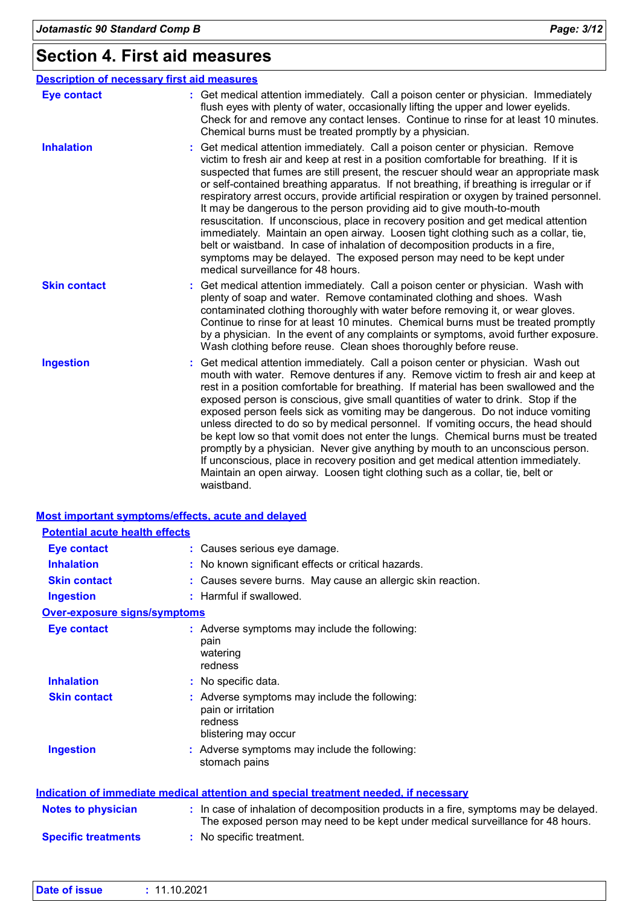### **Section 4. First aid measures**

|                     | <b>Description of necessary first aid measures</b>                                                                                                                                                                                                                                                                                                                                                                                                                                                                                                                                                                                                                                                                                                                                                                                                                                                            |
|---------------------|---------------------------------------------------------------------------------------------------------------------------------------------------------------------------------------------------------------------------------------------------------------------------------------------------------------------------------------------------------------------------------------------------------------------------------------------------------------------------------------------------------------------------------------------------------------------------------------------------------------------------------------------------------------------------------------------------------------------------------------------------------------------------------------------------------------------------------------------------------------------------------------------------------------|
| <b>Eye contact</b>  | : Get medical attention immediately. Call a poison center or physician. Immediately<br>flush eyes with plenty of water, occasionally lifting the upper and lower eyelids.<br>Check for and remove any contact lenses. Continue to rinse for at least 10 minutes.<br>Chemical burns must be treated promptly by a physician.                                                                                                                                                                                                                                                                                                                                                                                                                                                                                                                                                                                   |
| <b>Inhalation</b>   | Get medical attention immediately. Call a poison center or physician. Remove<br>victim to fresh air and keep at rest in a position comfortable for breathing. If it is<br>suspected that fumes are still present, the rescuer should wear an appropriate mask<br>or self-contained breathing apparatus. If not breathing, if breathing is irregular or if<br>respiratory arrest occurs, provide artificial respiration or oxygen by trained personnel.<br>It may be dangerous to the person providing aid to give mouth-to-mouth<br>resuscitation. If unconscious, place in recovery position and get medical attention<br>immediately. Maintain an open airway. Loosen tight clothing such as a collar, tie,<br>belt or waistband. In case of inhalation of decomposition products in a fire,<br>symptoms may be delayed. The exposed person may need to be kept under<br>medical surveillance for 48 hours. |
| <b>Skin contact</b> | : Get medical attention immediately. Call a poison center or physician. Wash with<br>plenty of soap and water. Remove contaminated clothing and shoes. Wash<br>contaminated clothing thoroughly with water before removing it, or wear gloves.<br>Continue to rinse for at least 10 minutes. Chemical burns must be treated promptly<br>by a physician. In the event of any complaints or symptoms, avoid further exposure.<br>Wash clothing before reuse. Clean shoes thoroughly before reuse.                                                                                                                                                                                                                                                                                                                                                                                                               |
| <b>Ingestion</b>    | Get medical attention immediately. Call a poison center or physician. Wash out<br>mouth with water. Remove dentures if any. Remove victim to fresh air and keep at<br>rest in a position comfortable for breathing. If material has been swallowed and the<br>exposed person is conscious, give small quantities of water to drink. Stop if the<br>exposed person feels sick as vomiting may be dangerous. Do not induce vomiting<br>unless directed to do so by medical personnel. If vomiting occurs, the head should<br>be kept low so that vomit does not enter the lungs. Chemical burns must be treated<br>promptly by a physician. Never give anything by mouth to an unconscious person.<br>If unconscious, place in recovery position and get medical attention immediately.<br>Maintain an open airway. Loosen tight clothing such as a collar, tie, belt or<br>waistband.                          |

|                                       | <b>Most important symptoms/effects, acute and delayed</b>                                                                                                                |
|---------------------------------------|--------------------------------------------------------------------------------------------------------------------------------------------------------------------------|
| <b>Potential acute health effects</b> |                                                                                                                                                                          |
| <b>Eye contact</b>                    | : Causes serious eye damage.                                                                                                                                             |
| <b>Inhalation</b>                     | : No known significant effects or critical hazards.                                                                                                                      |
| <b>Skin contact</b>                   | : Causes severe burns. May cause an allergic skin reaction.                                                                                                              |
| <b>Ingestion</b>                      | : Harmful if swallowed.                                                                                                                                                  |
| <b>Over-exposure signs/symptoms</b>   |                                                                                                                                                                          |
| <b>Eye contact</b>                    | : Adverse symptoms may include the following:<br>pain<br>watering<br>redness                                                                                             |
| <b>Inhalation</b>                     | : No specific data.                                                                                                                                                      |
| <b>Skin contact</b>                   | : Adverse symptoms may include the following:<br>pain or irritation<br>redness<br>blistering may occur                                                                   |
| <b>Ingestion</b>                      | : Adverse symptoms may include the following:<br>stomach pains                                                                                                           |
|                                       | Indication of immediate medical attention and special treatment needed, if necessary                                                                                     |
| Notes to physician                    | : In case of inhalation of decomposition products in a fire, symptoms may be delayed.<br>The exposed person may need to be kept under medical surveillance for 48 hours. |
| <b>Specific treatments</b>            | : No specific treatment.                                                                                                                                                 |

| Date of issue | 11.10.2021 |  |  |
|---------------|------------|--|--|
|---------------|------------|--|--|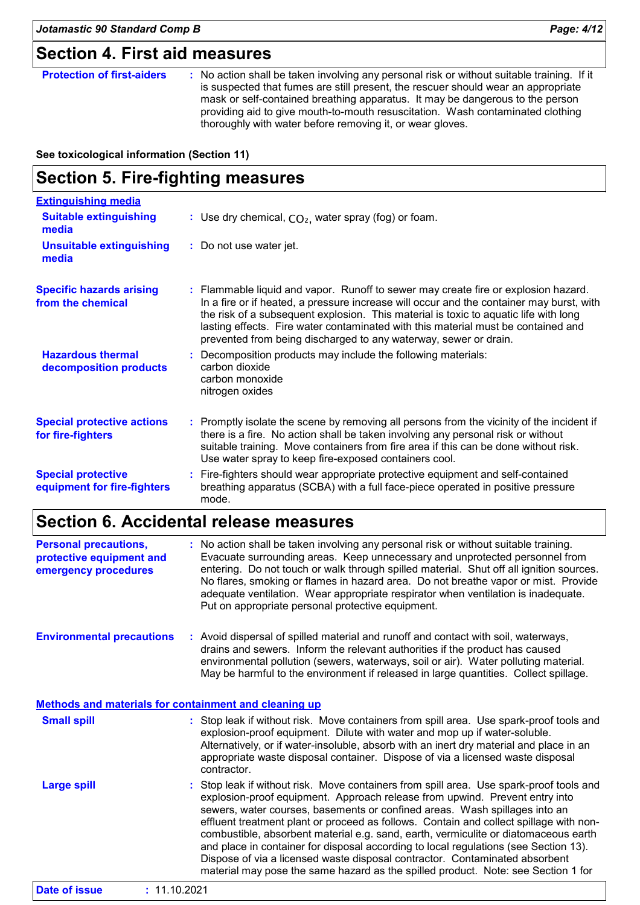### **Section 4. First aid measures**

#### **Protection of first-aiders** : No action shall be taken involving any personal risk or without suitable training. If it is suspected that fumes are still present, the rescuer should wear an appropriate mask or self-contained breathing apparatus. It may be dangerous to the person providing aid to give mouth-to-mouth resuscitation. Wash contaminated clothing thoroughly with water before removing it, or wear gloves.

#### **See toxicological information (Section 11)**

### **Section 5. Fire-fighting measures**

| <b>Extinguishing media</b>                               |                                                                                                                                                                                                                                                                                                                                                                                                                                 |
|----------------------------------------------------------|---------------------------------------------------------------------------------------------------------------------------------------------------------------------------------------------------------------------------------------------------------------------------------------------------------------------------------------------------------------------------------------------------------------------------------|
| <b>Suitable extinguishing</b><br>media                   | : Use dry chemical, $CO2$ , water spray (fog) or foam.                                                                                                                                                                                                                                                                                                                                                                          |
| <b>Unsuitable extinguishing</b><br>media                 | : Do not use water jet.                                                                                                                                                                                                                                                                                                                                                                                                         |
| <b>Specific hazards arising</b><br>from the chemical     | : Flammable liquid and vapor. Runoff to sewer may create fire or explosion hazard.<br>In a fire or if heated, a pressure increase will occur and the container may burst, with<br>the risk of a subsequent explosion. This material is toxic to aquatic life with long<br>lasting effects. Fire water contaminated with this material must be contained and<br>prevented from being discharged to any waterway, sewer or drain. |
| <b>Hazardous thermal</b><br>decomposition products       | : Decomposition products may include the following materials:<br>carbon dioxide<br>carbon monoxide<br>nitrogen oxides                                                                                                                                                                                                                                                                                                           |
| <b>Special protective actions</b><br>for fire-fighters   | : Promptly isolate the scene by removing all persons from the vicinity of the incident if<br>there is a fire. No action shall be taken involving any personal risk or without<br>suitable training. Move containers from fire area if this can be done without risk.<br>Use water spray to keep fire-exposed containers cool.                                                                                                   |
| <b>Special protective</b><br>equipment for fire-fighters | : Fire-fighters should wear appropriate protective equipment and self-contained<br>breathing apparatus (SCBA) with a full face-piece operated in positive pressure<br>mode.                                                                                                                                                                                                                                                     |

### **Section 6. Accidental release measures**

| <b>Personal precautions,</b><br>protective equipment and<br>emergency procedures | : No action shall be taken involving any personal risk or without suitable training.<br>Evacuate surrounding areas. Keep unnecessary and unprotected personnel from<br>entering. Do not touch or walk through spilled material. Shut off all ignition sources.<br>No flares, smoking or flames in hazard area. Do not breathe vapor or mist. Provide<br>adequate ventilation. Wear appropriate respirator when ventilation is inadequate.<br>Put on appropriate personal protective equipment. |
|----------------------------------------------------------------------------------|------------------------------------------------------------------------------------------------------------------------------------------------------------------------------------------------------------------------------------------------------------------------------------------------------------------------------------------------------------------------------------------------------------------------------------------------------------------------------------------------|
| <b>Environmental precautions</b>                                                 | : Avoid dispersal of spilled material and runoff and contact with soil, waterways,<br>drains and sewers. Inform the relevant authorities if the product has caused<br>environmental pollution (sewers, waterways, soil or air). Water polluting material.<br>May be harmful to the environment if released in large quantities. Collect spillage.                                                                                                                                              |
| <b>Methods and materials for containment and cleaning up</b>                     |                                                                                                                                                                                                                                                                                                                                                                                                                                                                                                |
| <b>Small spill</b>                                                               | : Stop leak if without risk. Move containers from spill area. Use spark-proof tools and<br>explosion-proof equipment. Dilute with water and mop up if water-soluble.<br>Alternatively, or if water-insoluble, absorb with an inert dry material and place in an<br>appropriate waste disposal container. Dispose of via a licensed waste disposal<br>contractor.                                                                                                                               |

Stop leak if without risk. Move containers from spill area. Use spark-proof tools and explosion-proof equipment. Approach release from upwind. Prevent entry into sewers, water courses, basements or confined areas. Wash spillages into an effluent treatment plant or proceed as follows. Contain and collect spillage with noncombustible, absorbent material e.g. sand, earth, vermiculite or diatomaceous earth and place in container for disposal according to local regulations (see Section 13). Dispose of via a licensed waste disposal contractor. Contaminated absorbent material may pose the same hazard as the spilled product. Note: see Section 1 for **Large spill :**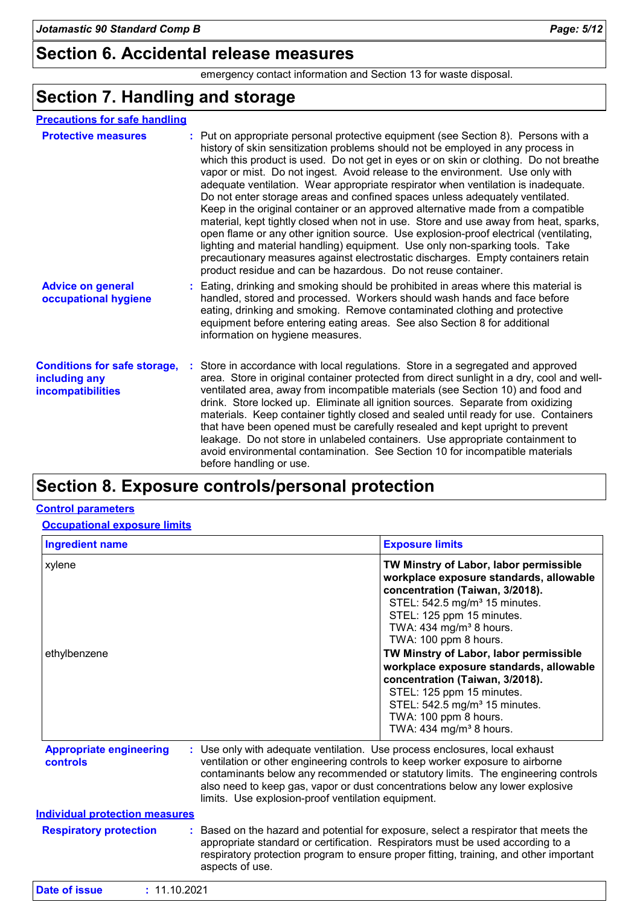### **Section 6. Accidental release measures**

emergency contact information and Section 13 for waste disposal.

### **Section 7. Handling and storage**

| <b>Precautions for safe handling</b> |  |  |
|--------------------------------------|--|--|
|                                      |  |  |

| <b>Protective measures</b>                                                       | : Put on appropriate personal protective equipment (see Section 8). Persons with a<br>history of skin sensitization problems should not be employed in any process in<br>which this product is used. Do not get in eyes or on skin or clothing. Do not breathe<br>vapor or mist. Do not ingest. Avoid release to the environment. Use only with<br>adequate ventilation. Wear appropriate respirator when ventilation is inadequate.<br>Do not enter storage areas and confined spaces unless adequately ventilated.<br>Keep in the original container or an approved alternative made from a compatible<br>material, kept tightly closed when not in use. Store and use away from heat, sparks,<br>open flame or any other ignition source. Use explosion-proof electrical (ventilating,<br>lighting and material handling) equipment. Use only non-sparking tools. Take<br>precautionary measures against electrostatic discharges. Empty containers retain<br>product residue and can be hazardous. Do not reuse container. |
|----------------------------------------------------------------------------------|--------------------------------------------------------------------------------------------------------------------------------------------------------------------------------------------------------------------------------------------------------------------------------------------------------------------------------------------------------------------------------------------------------------------------------------------------------------------------------------------------------------------------------------------------------------------------------------------------------------------------------------------------------------------------------------------------------------------------------------------------------------------------------------------------------------------------------------------------------------------------------------------------------------------------------------------------------------------------------------------------------------------------------|
| <b>Advice on general</b><br>occupational hygiene                                 | : Eating, drinking and smoking should be prohibited in areas where this material is<br>handled, stored and processed. Workers should wash hands and face before<br>eating, drinking and smoking. Remove contaminated clothing and protective<br>equipment before entering eating areas. See also Section 8 for additional<br>information on hygiene measures.                                                                                                                                                                                                                                                                                                                                                                                                                                                                                                                                                                                                                                                                  |
| <b>Conditions for safe storage,</b><br>including any<br><b>incompatibilities</b> | Store in accordance with local regulations. Store in a segregated and approved<br>area. Store in original container protected from direct sunlight in a dry, cool and well-<br>ventilated area, away from incompatible materials (see Section 10) and food and<br>drink. Store locked up. Eliminate all ignition sources. Separate from oxidizing<br>materials. Keep container tightly closed and sealed until ready for use. Containers<br>that have been opened must be carefully resealed and kept upright to prevent<br>leakage. Do not store in unlabeled containers. Use appropriate containment to<br>avoid environmental contamination. See Section 10 for incompatible materials<br>before handling or use.                                                                                                                                                                                                                                                                                                           |

### **Section 8. Exposure controls/personal protection**

#### **Control parameters**

**Occupational exposure limits**

| <b>Ingredient name</b>                     | <b>Exposure limits</b>                                                                                                                                                                                                                                                                                                                                                                                                                                                                                                           |
|--------------------------------------------|----------------------------------------------------------------------------------------------------------------------------------------------------------------------------------------------------------------------------------------------------------------------------------------------------------------------------------------------------------------------------------------------------------------------------------------------------------------------------------------------------------------------------------|
| xylene<br>ethylbenzene                     | TW Minstry of Labor, labor permissible<br>workplace exposure standards, allowable<br>concentration (Taiwan, 3/2018).<br>STEL: 542.5 mg/m <sup>3</sup> 15 minutes.<br>STEL: 125 ppm 15 minutes.<br>TWA: 434 mg/m <sup>3</sup> 8 hours.<br>TWA: 100 ppm 8 hours.<br>TW Minstry of Labor, labor permissible<br>workplace exposure standards, allowable<br>concentration (Taiwan, 3/2018).<br>STEL: 125 ppm 15 minutes.<br>STEL: 542.5 mg/m <sup>3</sup> 15 minutes.<br>TWA: 100 ppm 8 hours.<br>TWA: 434 mg/m <sup>3</sup> 8 hours. |
| <b>Appropriate engineering</b><br>controls | : Use only with adequate ventilation. Use process enclosures, local exhaust<br>ventilation or other engineering controls to keep worker exposure to airborne<br>contaminants below any recommended or statutory limits. The engineering controls<br>also need to keep gas, vapor or dust concentrations below any lower explosive<br>limits. Use explosion-proof ventilation equipment.                                                                                                                                          |
| <b>Individual protection measures</b>      |                                                                                                                                                                                                                                                                                                                                                                                                                                                                                                                                  |
| <b>Respiratory protection</b>              | Based on the hazard and potential for exposure, select a respirator that meets the<br>appropriate standard or certification. Respirators must be used according to a<br>respiratory protection program to ensure proper fitting, training, and other important<br>aspects of use.                                                                                                                                                                                                                                                |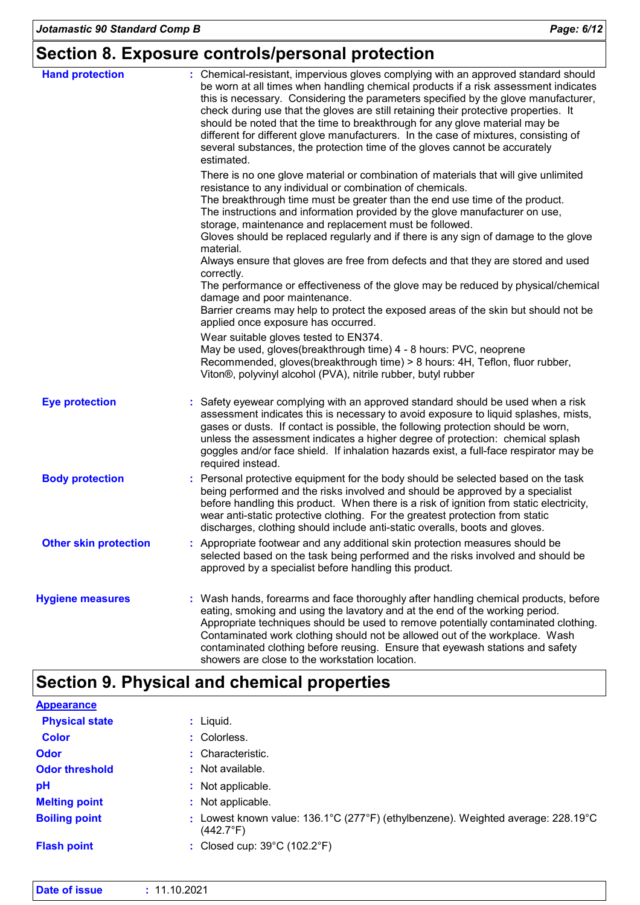### **Section 8. Exposure controls/personal protection**

| <b>Hand protection</b>       | : Chemical-resistant, impervious gloves complying with an approved standard should<br>be worn at all times when handling chemical products if a risk assessment indicates<br>this is necessary. Considering the parameters specified by the glove manufacturer,<br>check during use that the gloves are still retaining their protective properties. It<br>should be noted that the time to breakthrough for any glove material may be<br>different for different glove manufacturers. In the case of mixtures, consisting of<br>several substances, the protection time of the gloves cannot be accurately<br>estimated.                                                                                                                                                                  |
|------------------------------|--------------------------------------------------------------------------------------------------------------------------------------------------------------------------------------------------------------------------------------------------------------------------------------------------------------------------------------------------------------------------------------------------------------------------------------------------------------------------------------------------------------------------------------------------------------------------------------------------------------------------------------------------------------------------------------------------------------------------------------------------------------------------------------------|
|                              | There is no one glove material or combination of materials that will give unlimited<br>resistance to any individual or combination of chemicals.<br>The breakthrough time must be greater than the end use time of the product.<br>The instructions and information provided by the glove manufacturer on use,<br>storage, maintenance and replacement must be followed.<br>Gloves should be replaced regularly and if there is any sign of damage to the glove<br>material.<br>Always ensure that gloves are free from defects and that they are stored and used<br>correctly.<br>The performance or effectiveness of the glove may be reduced by physical/chemical<br>damage and poor maintenance.<br>Barrier creams may help to protect the exposed areas of the skin but should not be |
|                              | applied once exposure has occurred.<br>Wear suitable gloves tested to EN374.<br>May be used, gloves(breakthrough time) 4 - 8 hours: PVC, neoprene<br>Recommended, gloves(breakthrough time) > 8 hours: 4H, Teflon, fluor rubber,<br>Viton®, polyvinyl alcohol (PVA), nitrile rubber, butyl rubber                                                                                                                                                                                                                                                                                                                                                                                                                                                                                          |
| <b>Eye protection</b>        | : Safety eyewear complying with an approved standard should be used when a risk<br>assessment indicates this is necessary to avoid exposure to liquid splashes, mists,<br>gases or dusts. If contact is possible, the following protection should be worn,<br>unless the assessment indicates a higher degree of protection: chemical splash<br>goggles and/or face shield. If inhalation hazards exist, a full-face respirator may be<br>required instead.                                                                                                                                                                                                                                                                                                                                |
| <b>Body protection</b>       | : Personal protective equipment for the body should be selected based on the task<br>being performed and the risks involved and should be approved by a specialist<br>before handling this product. When there is a risk of ignition from static electricity,<br>wear anti-static protective clothing. For the greatest protection from static<br>discharges, clothing should include anti-static overalls, boots and gloves.                                                                                                                                                                                                                                                                                                                                                              |
| <b>Other skin protection</b> | : Appropriate footwear and any additional skin protection measures should be<br>selected based on the task being performed and the risks involved and should be<br>approved by a specialist before handling this product.                                                                                                                                                                                                                                                                                                                                                                                                                                                                                                                                                                  |
| <b>Hygiene measures</b>      | : Wash hands, forearms and face thoroughly after handling chemical products, before<br>eating, smoking and using the lavatory and at the end of the working period.<br>Appropriate techniques should be used to remove potentially contaminated clothing.<br>Contaminated work clothing should not be allowed out of the workplace. Wash<br>contaminated clothing before reusing. Ensure that eyewash stations and safety<br>showers are close to the workstation location.                                                                                                                                                                                                                                                                                                                |

### **Section 9. Physical and chemical properties**

| <b>Appearance</b>     |                                                                                                                            |
|-----------------------|----------------------------------------------------------------------------------------------------------------------------|
| <b>Physical state</b> | $:$ Liquid.                                                                                                                |
| <b>Color</b>          | : Colorless.                                                                                                               |
| <b>Odor</b>           | : Characteristic.                                                                                                          |
| <b>Odor threshold</b> | : Not available.                                                                                                           |
| pH                    | : Not applicable.                                                                                                          |
| <b>Melting point</b>  | : Not applicable.                                                                                                          |
| <b>Boiling point</b>  | : Lowest known value: $136.1^{\circ}$ C (277°F) (ethylbenzene). Weighted average: $228.19^{\circ}$ C<br>$(442.7^{\circ}F)$ |
| <b>Flash point</b>    | : Closed cup: 39°C (102.2°F)                                                                                               |

| <b>Date of issue</b><br>.10.2021<br>-44<br>the contract of the contract of the contract of the contract of the contract of the contract of the contract of |
|------------------------------------------------------------------------------------------------------------------------------------------------------------|
|------------------------------------------------------------------------------------------------------------------------------------------------------------|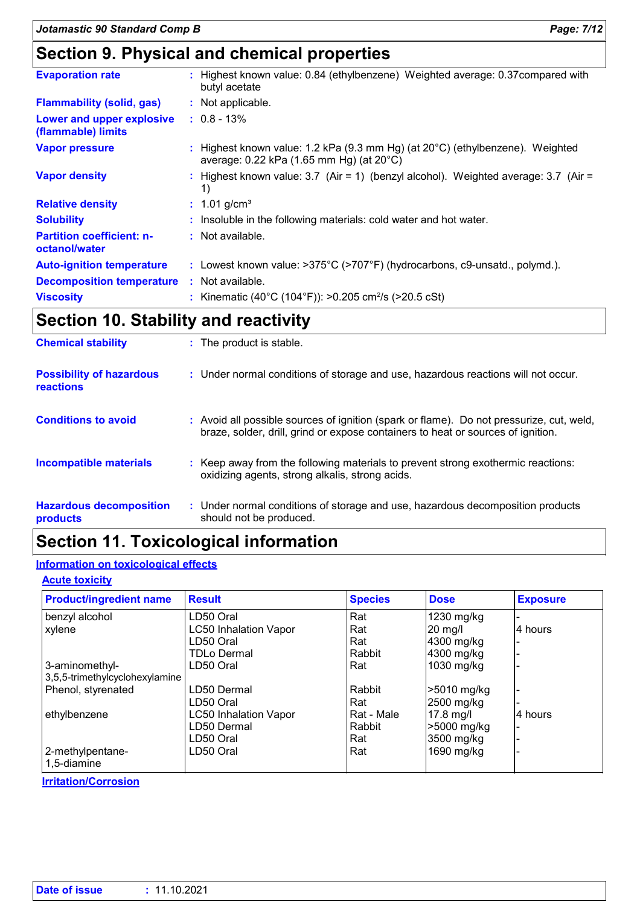### **Section 9. Physical and chemical properties**

| <b>Evaporation rate</b>                           | : Highest known value: 0.84 (ethylbenzene) Weighted average: 0.37 compared with<br>butyl acetate                                    |
|---------------------------------------------------|-------------------------------------------------------------------------------------------------------------------------------------|
| <b>Flammability (solid, gas)</b>                  | : Not applicable.                                                                                                                   |
| Lower and upper explosive<br>(flammable) limits   | $: 0.8 - 13\%$                                                                                                                      |
| <b>Vapor pressure</b>                             | : Highest known value: 1.2 kPa (9.3 mm Hg) (at $20^{\circ}$ C) (ethylbenzene). Weighted<br>average: 0.22 kPa (1.65 mm Hg) (at 20°C) |
| <b>Vapor density</b>                              | : Highest known value: $3.7$ (Air = 1) (benzyl alcohol). Weighted average: $3.7$ (Air =<br>1)                                       |
| <b>Relative density</b>                           | $: 1.01$ g/cm <sup>3</sup>                                                                                                          |
| <b>Solubility</b>                                 | : Insoluble in the following materials: cold water and hot water.                                                                   |
| <b>Partition coefficient: n-</b><br>octanol/water | : Not available.                                                                                                                    |
| <b>Auto-ignition temperature</b>                  | : Lowest known value: $>375^{\circ}$ C ( $>707^{\circ}$ F) (hydrocarbons, c9-unsatd., polymd.).                                     |
| <b>Decomposition temperature</b>                  | : Not available.                                                                                                                    |
| <b>Viscosity</b>                                  | : Kinematic (40°C (104°F)): >0.205 cm <sup>2</sup> /s (>20.5 cSt)                                                                   |

### **Section 10. Stability and reactivity**

| <b>Chemical stability</b>                    | : The product is stable.                                                                                                                                                     |
|----------------------------------------------|------------------------------------------------------------------------------------------------------------------------------------------------------------------------------|
| <b>Possibility of hazardous</b><br>reactions | : Under normal conditions of storage and use, hazardous reactions will not occur.                                                                                            |
| <b>Conditions to avoid</b>                   | : Avoid all possible sources of ignition (spark or flame). Do not pressurize, cut, weld,<br>braze, solder, drill, grind or expose containers to heat or sources of ignition. |
| <b>Incompatible materials</b>                | : Keep away from the following materials to prevent strong exothermic reactions:<br>oxidizing agents, strong alkalis, strong acids.                                          |
| <b>Hazardous decomposition</b><br>products   | : Under normal conditions of storage and use, hazardous decomposition products<br>should not be produced.                                                                    |

### **Section 11. Toxicological information**

#### **Information on toxicological effects**

#### **Acute toxicity**

| <b>Product/ingredient name</b> | <b>Result</b>                | <b>Species</b> | <b>Dose</b> | <b>Exposure</b> |
|--------------------------------|------------------------------|----------------|-------------|-----------------|
| benzyl alcohol                 | LD50 Oral                    | Rat            | 1230 mg/kg  |                 |
| xylene                         | <b>LC50 Inhalation Vapor</b> | Rat            | $20$ mg/l   | 4 hours         |
|                                | LD50 Oral                    | Rat            | 4300 mg/kg  |                 |
|                                | <b>TDLo Dermal</b>           | Rabbit         | 4300 mg/kg  |                 |
| 3-aminomethyl-                 | LD50 Oral                    | Rat            | 1030 mg/kg  |                 |
| 3,5,5-trimethylcyclohexylamine |                              |                |             |                 |
| Phenol, styrenated             | LD50 Dermal                  | Rabbit         | >5010 mg/kg |                 |
|                                | LD50 Oral                    | Rat            | 2500 mg/kg  |                 |
| ethylbenzene                   | <b>LC50 Inhalation Vapor</b> | Rat - Male     | $17.8$ mg/l | 4 hours         |
|                                | LD50 Dermal                  | Rabbit         | >5000 mg/kg |                 |
|                                | LD50 Oral                    | Rat            | 3500 mg/kg  |                 |
| 2-methylpentane-               | LD50 Oral                    | Rat            | 1690 mg/kg  |                 |
| 1,5-diamine                    |                              |                |             |                 |

#### **Irritation/Corrosion**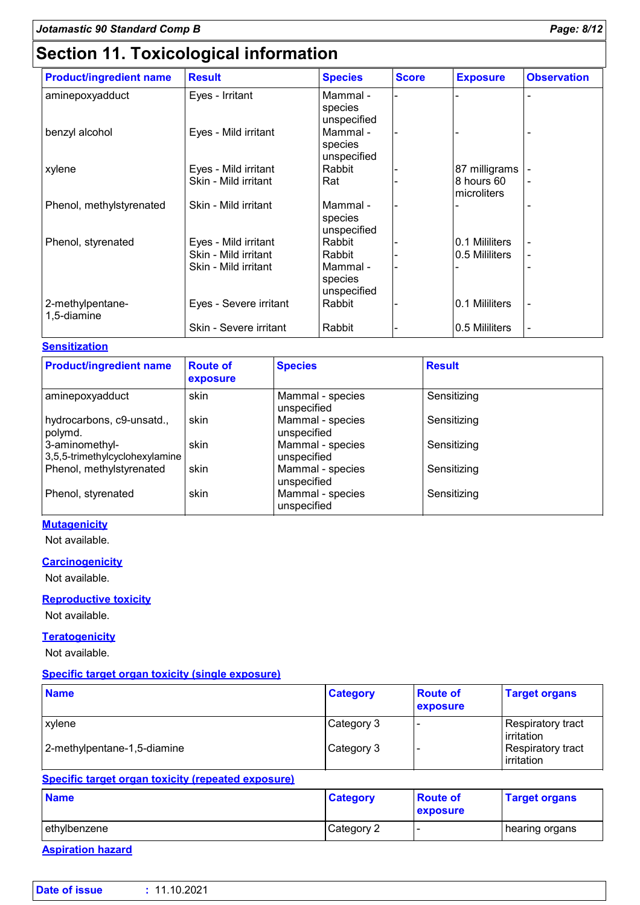### **Section 11. Toxicological information**

| <b>Product/ingredient name</b>  | <b>Result</b>          | <b>Species</b>                     | <b>Score</b> | <b>Exposure</b>           | <b>Observation</b> |
|---------------------------------|------------------------|------------------------------------|--------------|---------------------------|--------------------|
| aminepoxyadduct                 | Eyes - Irritant        | Mammal -<br>species<br>unspecified |              |                           |                    |
| benzyl alcohol                  | Eyes - Mild irritant   | Mammal -<br>species<br>unspecified |              |                           |                    |
| xylene                          | Eyes - Mild irritant   | Rabbit                             |              | 87 milligrams             |                    |
|                                 | Skin - Mild irritant   | Rat                                |              | 8 hours 60<br>microliters |                    |
| Phenol, methylstyrenated        | Skin - Mild irritant   | Mammal -<br>species<br>unspecified |              |                           |                    |
| Phenol, styrenated              | Eyes - Mild irritant   | Rabbit                             |              | 0.1 Mililiters            |                    |
|                                 | Skin - Mild irritant   | Rabbit                             |              | 0.5 Mililiters            |                    |
|                                 | Skin - Mild irritant   | Mammal -<br>species<br>unspecified |              |                           |                    |
| 2-methylpentane-<br>1,5-diamine | Eyes - Severe irritant | Rabbit                             |              | 0.1 Mililiters            |                    |
|                                 | Skin - Severe irritant | Rabbit                             |              | 0.5 Mililiters            |                    |

#### **Sensitization**

| <b>Product/ingredient name</b>                   | <b>Route of</b><br>exposure | <b>Species</b>                  | <b>Result</b> |
|--------------------------------------------------|-----------------------------|---------------------------------|---------------|
| aminepoxyadduct                                  | skin                        | Mammal - species<br>unspecified | Sensitizing   |
| hydrocarbons, c9-unsatd.,<br>polymd.             | skin                        | Mammal - species<br>unspecified | Sensitizing   |
| 3-aminomethyl-<br>3,5,5-trimethylcyclohexylamine | skin                        | Mammal - species<br>unspecified | Sensitizing   |
| Phenol, methylstyrenated                         | skin                        | Mammal - species<br>unspecified | Sensitizing   |
| Phenol, styrenated                               | skin                        | Mammal - species<br>unspecified | Sensitizing   |

### **Mutagenicity**

Not available.

#### **Carcinogenicity**

Not available.

#### **Reproductive toxicity**

Not available.

#### **Teratogenicity**

Not available.

#### **Specific target organ toxicity (single exposure)**

| <b>Name</b>                 | <b>Category</b> | <b>Route of</b><br>exposure | <b>Target organs</b>                     |
|-----------------------------|-----------------|-----------------------------|------------------------------------------|
| xylene                      | Category 3      |                             | Respiratory tract<br>l irritation        |
| 2-methylpentane-1,5-diamine | Category 3      |                             | <b>Respiratory tract</b><br>l irritation |

#### **Specific target organ toxicity (repeated exposure)**

| <b>Name</b>   | <b>Category</b> | <b>Route of</b><br>exposure | <b>Target organs</b> |
|---------------|-----------------|-----------------------------|----------------------|
| lethvlbenzene | Category 2      |                             | hearing organs       |

**Aspiration hazard**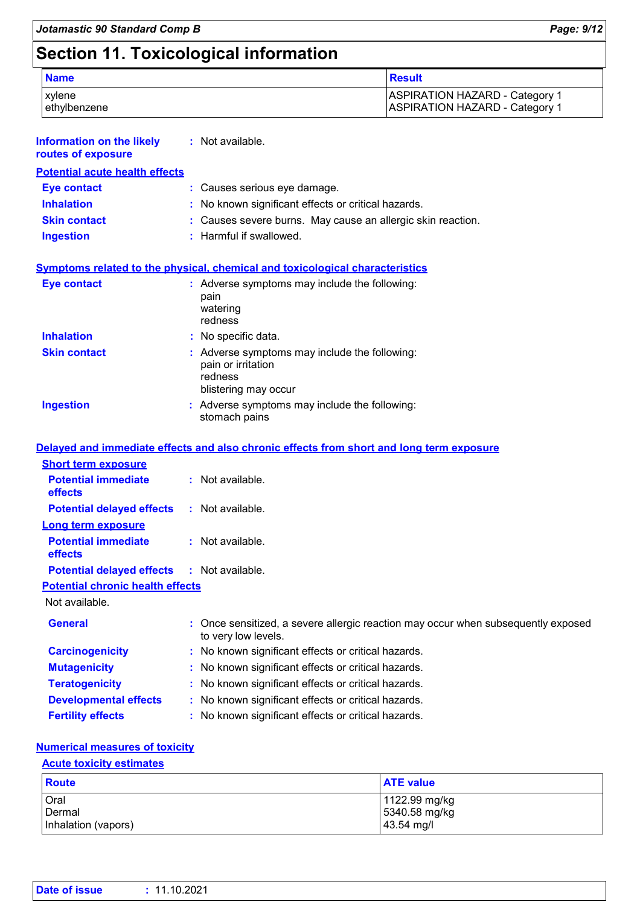## **Section 11. Toxicological information**

| <b>Name</b>  | <b>Besult</b>                         |
|--------------|---------------------------------------|
| xvlene       | <b>ASPIRATION HAZARD - Category 1</b> |
| ethylbenzene | <b>ASPIRATION HAZARD - Category 1</b> |

| <b>Information on the likely</b><br>routes of exposure | : Not available.                                                                                         |
|--------------------------------------------------------|----------------------------------------------------------------------------------------------------------|
| <b>Potential acute health effects</b>                  |                                                                                                          |
| <b>Eye contact</b>                                     | : Causes serious eye damage.                                                                             |
| <b>Inhalation</b>                                      | : No known significant effects or critical hazards.                                                      |
| <b>Skin contact</b>                                    | Causes severe burns. May cause an allergic skin reaction.                                                |
| <b>Ingestion</b>                                       | : Harmful if swallowed.                                                                                  |
|                                                        | <b>Symptoms related to the physical, chemical and toxicological characteristics</b>                      |
| <b>Eye contact</b>                                     | : Adverse symptoms may include the following:<br>pain<br>watering<br>redness                             |
| <b>Inhalation</b>                                      | : No specific data.                                                                                      |
| <b>Skin contact</b>                                    | : Adverse symptoms may include the following:<br>pain or irritation<br>redness<br>blistering may occur   |
| <b>Ingestion</b>                                       | : Adverse symptoms may include the following:<br>stomach pains                                           |
|                                                        | Delayed and immediate effects and also chronic effects from short and long term exposure                 |
| <b>Short term exposure</b>                             |                                                                                                          |
| <b>Potential immediate</b><br>effects                  | : Not available.                                                                                         |
| <b>Potential delayed effects</b>                       | : Not available.                                                                                         |
| <b>Long term exposure</b>                              |                                                                                                          |
| <b>Potential immediate</b><br>effects                  | : Not available.                                                                                         |
| <b>Potential delayed effects</b>                       | : Not available.                                                                                         |
| <b>Potential chronic health effects</b>                |                                                                                                          |
| Not available.                                         |                                                                                                          |
| <b>General</b>                                         | : Once sensitized, a severe allergic reaction may occur when subsequently exposed<br>to very low levels. |
| <b>Carcinogenicity</b>                                 | : No known significant effects or critical hazards.                                                      |
| <b>Mutagenicity</b>                                    | No known significant effects or critical hazards.                                                        |
| <b>Teratogenicity</b>                                  | : No known significant effects or critical hazards.                                                      |
| <b>Developmental effects</b>                           | : No known significant effects or critical hazards.                                                      |
| <b>Fertility effects</b>                               | : No known significant effects or critical hazards.                                                      |

#### **Numerical measures of toxicity**

#### **Acute toxicity estimates**

ľ

| <b>Route</b>        | <b>ATE value</b> |
|---------------------|------------------|
| Oral                | 1122.99 mg/kg    |
| Dermal              | 5340.58 mg/kg    |
| Inhalation (vapors) | 43.54 mg/l       |

| Date of issue | : 11.10.2021 |  |
|---------------|--------------|--|
|               |              |  |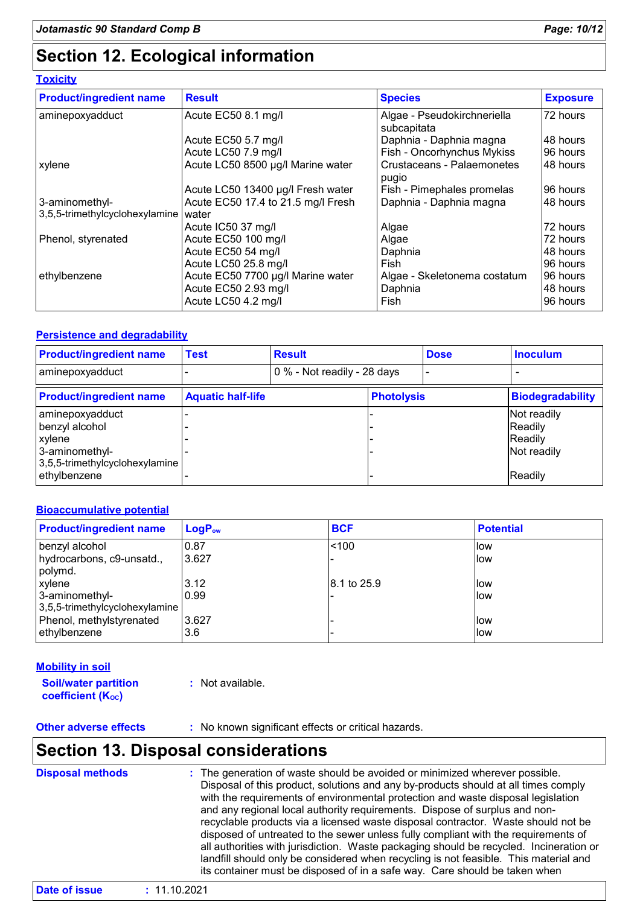### **Section 12. Ecological information**

#### **Toxicity**

| <b>Product/ingredient name</b> | <b>Result</b>                      | <b>Species</b>                             | <b>Exposure</b> |
|--------------------------------|------------------------------------|--------------------------------------------|-----------------|
| aminepoxyadduct                | Acute EC50 8.1 mg/l                | Algae - Pseudokirchneriella<br>subcapitata | 72 hours        |
|                                | Acute EC50 5.7 mg/l                | Daphnia - Daphnia magna                    | 48 hours        |
|                                | Acute LC50 7.9 mg/l                | Fish - Oncorhynchus Mykiss                 | 96 hours        |
| xylene                         | Acute LC50 8500 µg/l Marine water  | <b>Crustaceans - Palaemonetes</b><br>pugio | 48 hours        |
|                                | Acute LC50 13400 µg/l Fresh water  | Fish - Pimephales promelas                 | 96 hours        |
| 3-aminomethyl-                 | Acute EC50 17.4 to 21.5 mg/l Fresh | Daphnia - Daphnia magna                    | 48 hours        |
| 3,5,5-trimethylcyclohexylamine | water                              |                                            |                 |
|                                | Acute IC50 37 mg/l                 | Algae                                      | 72 hours        |
| Phenol, styrenated             | Acute EC50 100 mg/l                | Algae                                      | 72 hours        |
|                                | Acute EC50 54 mg/l                 | Daphnia                                    | 48 hours        |
|                                | Acute LC50 25.8 mg/l               | Fish                                       | 96 hours        |
| ethylbenzene                   | Acute EC50 7700 µg/l Marine water  | Algae - Skeletonema costatum               | 96 hours        |
|                                | Acute EC50 2.93 mg/l               | Daphnia                                    | I48 hours       |
|                                | Acute LC50 4.2 mg/l                | Fish                                       | 96 hours        |

#### **Persistence and degradability**

| <b>Product/ingredient name</b>                                                                  | <b>Test</b>              | <b>Result</b>               |                   | <b>Dose</b> | <b>Inoculum</b>                                  |
|-------------------------------------------------------------------------------------------------|--------------------------|-----------------------------|-------------------|-------------|--------------------------------------------------|
| aminepoxyadduct                                                                                 |                          | 0 % - Not readily - 28 days |                   |             |                                                  |
| <b>Product/ingredient name</b>                                                                  | <b>Aquatic half-life</b> |                             | <b>Photolysis</b> |             | <b>Biodegradability</b>                          |
| aminepoxyadduct<br>benzyl alcohol<br>xylene<br>3-aminomethyl-<br>3,5,5-trimethylcyclohexylamine |                          |                             |                   |             | Not readily<br>Readily<br>Readily<br>Not readily |
| ethylbenzene                                                                                    |                          |                             |                   |             | Readily                                          |

#### **Bioaccumulative potential**

| <b>Product/ingredient name</b> | LogP <sub>ow</sub> | <b>BCF</b>  | <b>Potential</b> |
|--------------------------------|--------------------|-------------|------------------|
| benzyl alcohol                 | 0.87               | < 100       | llow             |
| hydrocarbons, c9-unsatd.,      | 3.627              |             | <b>llow</b>      |
| polymd.                        |                    |             |                  |
| xylene                         | 3.12               | 8.1 to 25.9 | llow             |
| 3-aminomethyl-                 | 0.99               |             | llow             |
| 3,5,5-trimethylcyclohexylamine |                    |             |                  |
| Phenol, methylstyrenated       | 3.627              |             | llow             |
| ethylbenzene                   | 3.6                |             | llow             |

#### **Mobility in soil**

**Soil/water partition coefficient (Koc)** 

**:** Not available.

**Other adverse effects** : No known significant effects or critical hazards.

### **Section 13. Disposal considerations**

| <b>Disposal methods</b> | : The generation of waste should be avoided or minimized wherever possible.<br>Disposal of this product, solutions and any by-products should at all times comply<br>with the requirements of environmental protection and waste disposal legislation<br>and any regional local authority requirements. Dispose of surplus and non-<br>recyclable products via a licensed waste disposal contractor. Waste should not be<br>disposed of untreated to the sewer unless fully compliant with the requirements of<br>all authorities with jurisdiction. Waste packaging should be recycled. Incineration or<br>landfill should only be considered when recycling is not feasible. This material and<br>its container must be disposed of in a safe way. Care should be taken when |
|-------------------------|--------------------------------------------------------------------------------------------------------------------------------------------------------------------------------------------------------------------------------------------------------------------------------------------------------------------------------------------------------------------------------------------------------------------------------------------------------------------------------------------------------------------------------------------------------------------------------------------------------------------------------------------------------------------------------------------------------------------------------------------------------------------------------|
|-------------------------|--------------------------------------------------------------------------------------------------------------------------------------------------------------------------------------------------------------------------------------------------------------------------------------------------------------------------------------------------------------------------------------------------------------------------------------------------------------------------------------------------------------------------------------------------------------------------------------------------------------------------------------------------------------------------------------------------------------------------------------------------------------------------------|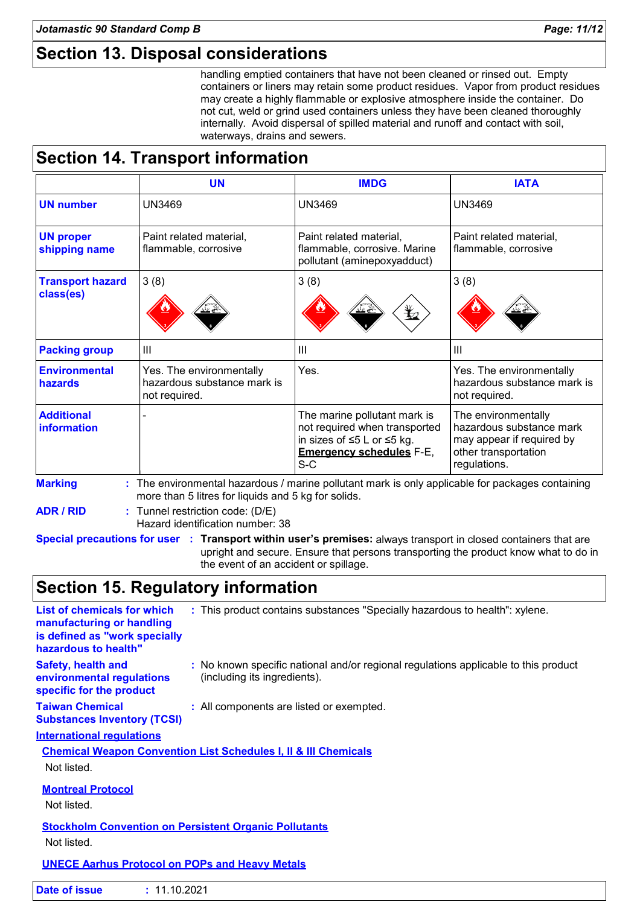### **Section 13. Disposal considerations**

handling emptied containers that have not been cleaned or rinsed out. Empty containers or liners may retain some product residues. Vapor from product residues may create a highly flammable or explosive atmosphere inside the container. Do not cut, weld or grind used containers unless they have been cleaned thoroughly internally. Avoid dispersal of spilled material and runoff and contact with soil, waterways, drains and sewers.

### **Section 14. Transport information**

|                                      | <b>UN</b>                                                                | <b>IMDG</b>                                                                                                                             | <b>IATA</b>                                                                                                          |
|--------------------------------------|--------------------------------------------------------------------------|-----------------------------------------------------------------------------------------------------------------------------------------|----------------------------------------------------------------------------------------------------------------------|
| <b>UN number</b>                     | <b>UN3469</b>                                                            | <b>UN3469</b>                                                                                                                           | <b>UN3469</b>                                                                                                        |
| <b>UN proper</b><br>shipping name    | Paint related material,<br>flammable, corrosive                          | Paint related material,<br>flammable, corrosive. Marine<br>pollutant (aminepoxyadduct)                                                  | Paint related material,<br>flammable, corrosive                                                                      |
| <b>Transport hazard</b><br>class(es) | 3(8)                                                                     | 3(8)<br>$\bigstar$                                                                                                                      | 3(8)                                                                                                                 |
| <b>Packing group</b>                 | III                                                                      | III                                                                                                                                     | $\mathbf{III}$                                                                                                       |
| <b>Environmental</b><br>hazards      | Yes. The environmentally<br>hazardous substance mark is<br>not required. | Yes.                                                                                                                                    | Yes. The environmentally<br>hazardous substance mark is<br>not required.                                             |
| <b>Additional</b><br>information     |                                                                          | The marine pollutant mark is<br>not required when transported<br>in sizes of ≤5 L or ≤5 kg.<br><b>Emergency schedules F-E,</b><br>$S-C$ | The environmentally<br>hazardous substance mark<br>may appear if required by<br>other transportation<br>regulations. |

**ADR / RID :** Tunnel restriction code: (D/E)

Hazard identification number: 38

**Special precautions for user Transport within user's premises:** always transport in closed containers that are **:** upright and secure. Ensure that persons transporting the product know what to do in the event of an accident or spillage.

### **Section 15. Regulatory information**

| List of chemicals for which<br>manufacturing or handling<br>is defined as "work specially<br>hazardous to health" | : This product contains substances "Specially hazardous to health": xylene.                                         |
|-------------------------------------------------------------------------------------------------------------------|---------------------------------------------------------------------------------------------------------------------|
| <b>Safety, health and</b><br>environmental regulations<br>specific for the product                                | : No known specific national and/or regional regulations applicable to this product<br>(including its ingredients). |
| <b>Taiwan Chemical</b><br><b>Substances Inventory (TCSI)</b>                                                      | : All components are listed or exempted.                                                                            |
| <b>International requlations</b>                                                                                  |                                                                                                                     |
|                                                                                                                   | <b>Chemical Weapon Convention List Schedules I, II &amp; III Chemicals</b>                                          |
| Not listed.                                                                                                       |                                                                                                                     |
| <b>Montreal Protocol</b>                                                                                          |                                                                                                                     |
| Not listed.                                                                                                       |                                                                                                                     |
| <b>Stockholm Convention on Persistent Organic Pollutants</b>                                                      |                                                                                                                     |
| Not listed.                                                                                                       |                                                                                                                     |
| <b>UNECE Aarhus Protocol on POPs and Heavy Metals</b>                                                             |                                                                                                                     |

| Date of issue<br>11.10.2021<br>-11 |  |
|------------------------------------|--|
|------------------------------------|--|